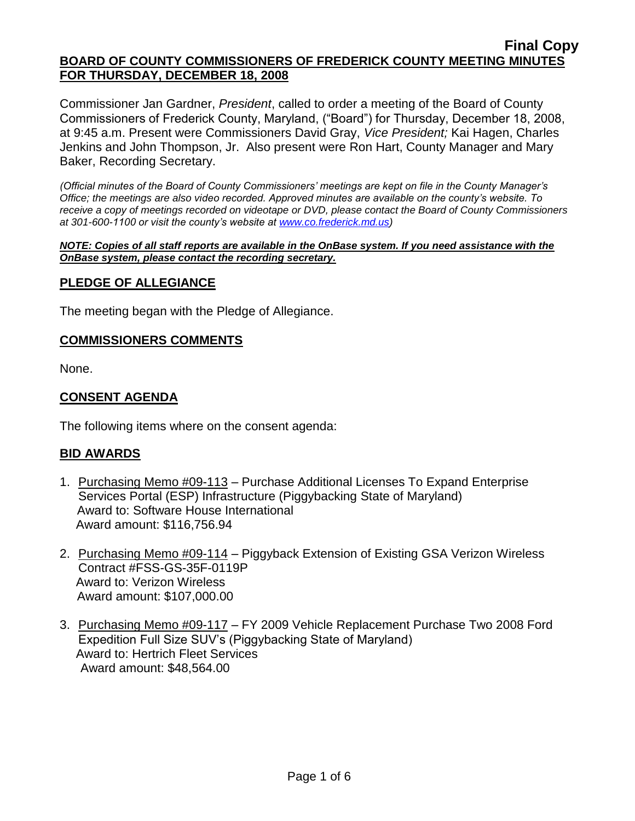Commissioner Jan Gardner, *President*, called to order a meeting of the Board of County Commissioners of Frederick County, Maryland, ("Board") for Thursday, December 18, 2008, at 9:45 a.m. Present were Commissioners David Gray, *Vice President;* Kai Hagen, Charles Jenkins and John Thompson, Jr. Also present were Ron Hart, County Manager and Mary Baker, Recording Secretary.

*(Official minutes of the Board of County Commissioners' meetings are kept on file in the County Manager's Office; the meetings are also video recorded. Approved minutes are available on the county's website. To receive a copy of meetings recorded on videotape or DVD, please contact the Board of County Commissioners at 301-600-1100 or visit the county's website at [www.co.frederick.md.us\)](http://www.co.frederick.md.us/)*

*NOTE: Copies of all staff reports are available in the OnBase system. If you need assistance with the OnBase system, please contact the recording secretary.*

### **PLEDGE OF ALLEGIANCE**

The meeting began with the Pledge of Allegiance.

#### **COMMISSIONERS COMMENTS**

None.

### **CONSENT AGENDA**

The following items where on the consent agenda:

#### **BID AWARDS**

- 1. Purchasing Memo #09-113 Purchase Additional Licenses To Expand Enterprise Services Portal (ESP) Infrastructure (Piggybacking State of Maryland) Award to: Software House International Award amount: \$116,756.94
- 2. Purchasing Memo #09-114 Piggyback Extension of Existing GSA Verizon Wireless Contract #FSS-GS-35F-0119P Award to: Verizon Wireless Award amount: \$107,000.00
- 3. Purchasing Memo #09-117 FY 2009 Vehicle Replacement Purchase Two 2008 Ford Expedition Full Size SUV's (Piggybacking State of Maryland) Award to: Hertrich Fleet Services Award amount: \$48,564.00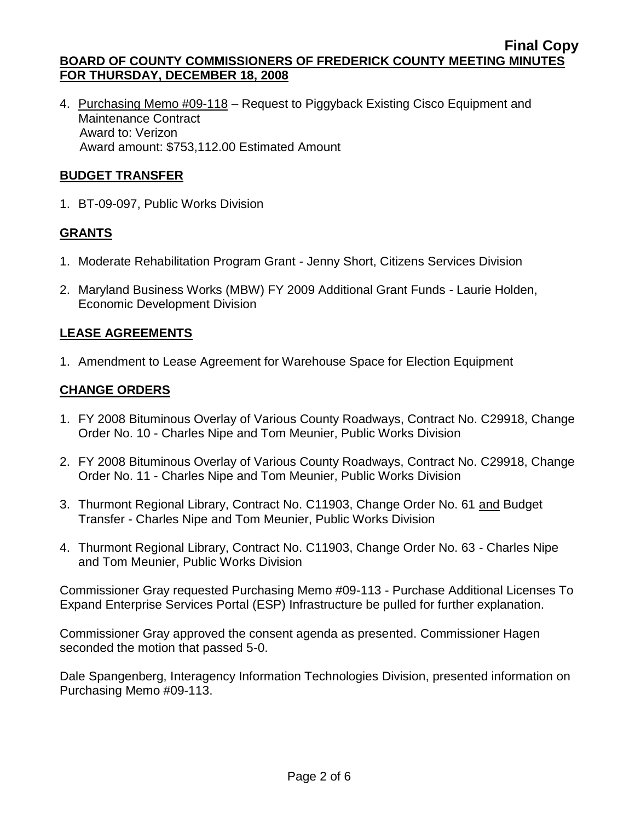4. Purchasing Memo #09-118 - Request to Piggyback Existing Cisco Equipment and Maintenance Contract Award to: Verizon Award amount: \$753,112.00 Estimated Amount

## **BUDGET TRANSFER**

1. BT-09-097, Public Works Division

# **GRANTS**

- 1. Moderate Rehabilitation Program Grant Jenny Short, Citizens Services Division
- 2. Maryland Business Works (MBW) FY 2009 Additional Grant Funds Laurie Holden, Economic Development Division

# **LEASE AGREEMENTS**

1. Amendment to Lease Agreement for Warehouse Space for Election Equipment

## **CHANGE ORDERS**

- 1. FY 2008 Bituminous Overlay of Various County Roadways, Contract No. C29918, Change Order No. 10 - Charles Nipe and Tom Meunier, Public Works Division
- 2. FY 2008 Bituminous Overlay of Various County Roadways, Contract No. C29918, Change Order No. 11 - Charles Nipe and Tom Meunier, Public Works Division
- 3. Thurmont Regional Library, Contract No. C11903, Change Order No. 61 and Budget Transfer - Charles Nipe and Tom Meunier, Public Works Division
- 4. Thurmont Regional Library, Contract No. C11903, Change Order No. 63 Charles Nipe and Tom Meunier, Public Works Division

Commissioner Gray requested Purchasing Memo #09-113 - Purchase Additional Licenses To Expand Enterprise Services Portal (ESP) Infrastructure be pulled for further explanation.

Commissioner Gray approved the consent agenda as presented. Commissioner Hagen seconded the motion that passed 5-0.

Dale Spangenberg, Interagency Information Technologies Division, presented information on Purchasing Memo #09-113.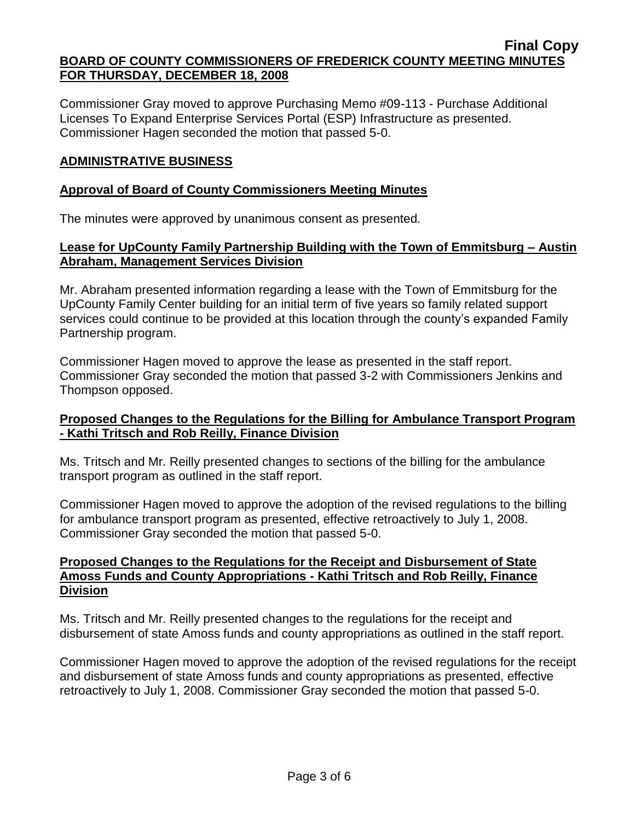Commissioner Gray moved to approve Purchasing Memo #09-113 - Purchase Additional Licenses To Expand Enterprise Services Portal (ESP) Infrastructure as presented. Commissioner Hagen seconded the motion that passed 5-0.

## **ADMINISTRATIVE BUSINESS**

## **Approval of Board of County Commissioners Meeting Minutes**

The minutes were approved by unanimous consent as presented.

## **Lease for UpCounty Family Partnership Building with the Town of Emmitsburg – Austin Abraham, Management Services Division**

Mr. Abraham presented information regarding a lease with the Town of Emmitsburg for the UpCounty Family Center building for an initial term of five years so family related support services could continue to be provided at this location through the county's expanded Family Partnership program.

Commissioner Hagen moved to approve the lease as presented in the staff report. Commissioner Gray seconded the motion that passed 3-2 with Commissioners Jenkins and Thompson opposed.

## **Proposed Changes to the Regulations for the Billing for Ambulance Transport Program - Kathi Tritsch and Rob Reilly, Finance Division**

Ms. Tritsch and Mr. Reilly presented changes to sections of the billing for the ambulance transport program as outlined in the staff report.

Commissioner Hagen moved to approve the adoption of the revised regulations to the billing for ambulance transport program as presented, effective retroactively to July 1, 2008. Commissioner Gray seconded the motion that passed 5-0.

### **Proposed Changes to the Regulations for the Receipt and Disbursement of State Amoss Funds and County Appropriations - Kathi Tritsch and Rob Reilly, Finance Division**

Ms. Tritsch and Mr. Reilly presented changes to the regulations for the receipt and disbursement of state Amoss funds and county appropriations as outlined in the staff report.

Commissioner Hagen moved to approve the adoption of the revised regulations for the receipt and disbursement of state Amoss funds and county appropriations as presented, effective retroactively to July 1, 2008. Commissioner Gray seconded the motion that passed 5-0.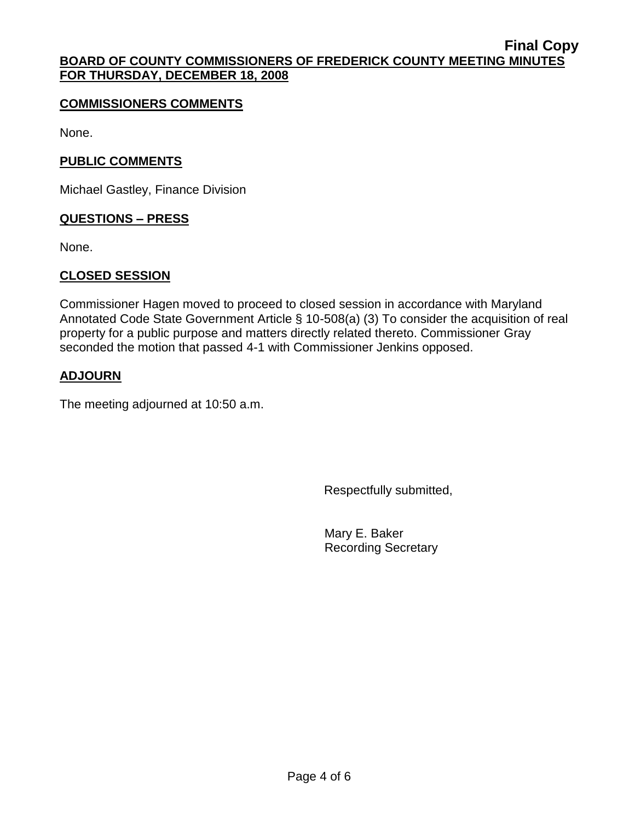### **COMMISSIONERS COMMENTS**

None.

## **PUBLIC COMMENTS**

Michael Gastley, Finance Division

### **QUESTIONS – PRESS**

None.

## **CLOSED SESSION**

Commissioner Hagen moved to proceed to closed session in accordance with Maryland Annotated Code State Government Article § 10-508(a) (3) To consider the acquisition of real property for a public purpose and matters directly related thereto. Commissioner Gray seconded the motion that passed 4-1 with Commissioner Jenkins opposed.

## **ADJOURN**

The meeting adjourned at 10:50 a.m.

Respectfully submitted,

Mary E. Baker Recording Secretary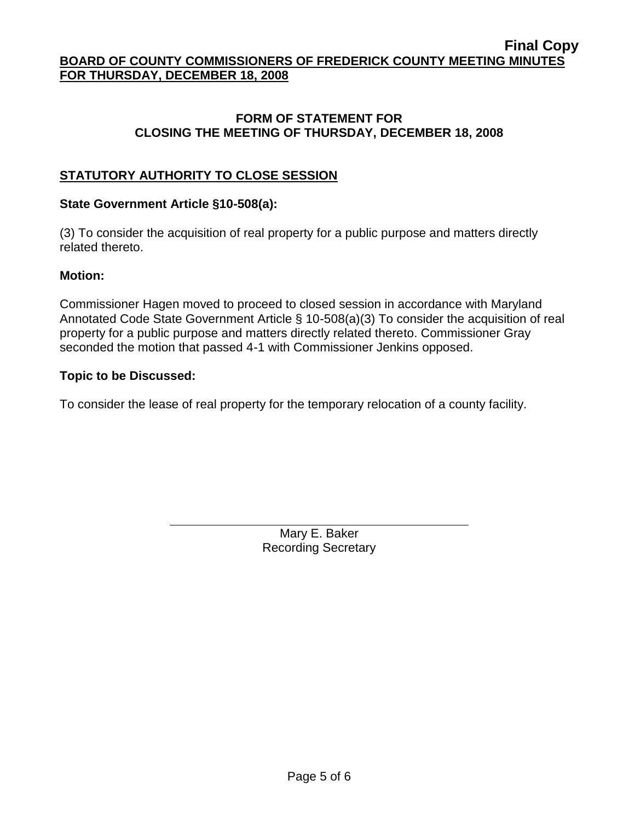## **FORM OF STATEMENT FOR CLOSING THE MEETING OF THURSDAY, DECEMBER 18, 2008**

# **STATUTORY AUTHORITY TO CLOSE SESSION**

## **State Government Article §10-508(a):**

(3) To consider the acquisition of real property for a public purpose and matters directly related thereto.

#### **Motion:**

Commissioner Hagen moved to proceed to closed session in accordance with Maryland Annotated Code State Government Article § 10-508(a)(3) To consider the acquisition of real property for a public purpose and matters directly related thereto. Commissioner Gray seconded the motion that passed 4-1 with Commissioner Jenkins opposed.

### **Topic to be Discussed:**

To consider the lease of real property for the temporary relocation of a county facility.

Mary E. Baker Recording Secretary